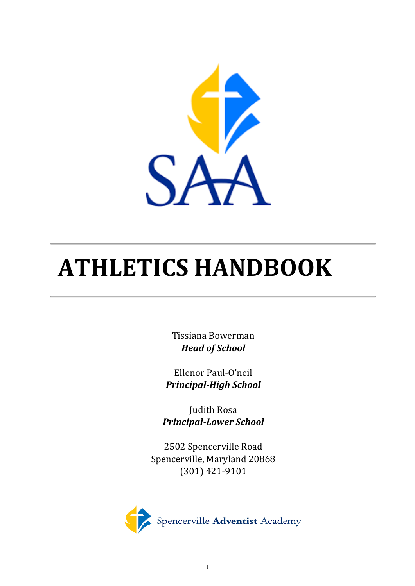

# **ATHLETICS HANDBOOK**

Tissiana Bowerman *Head of School*

Ellenor Paul-O'neil *Principal-High School*

Judith Rosa *Principal-Lower School*

2502 Spencerville Road Spencerville, Maryland 20868 (301) 421-9101

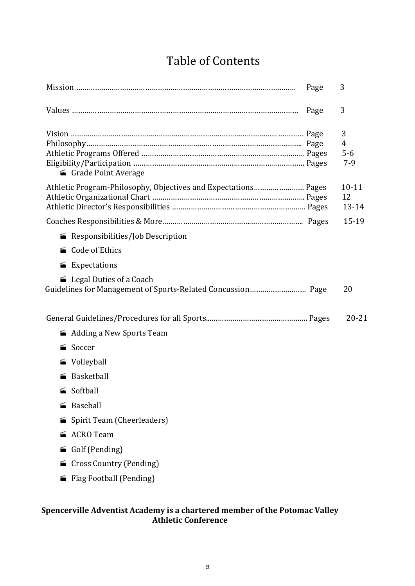# Table of Contents

|                                                                | Page | 3                                     |
|----------------------------------------------------------------|------|---------------------------------------|
|                                                                | Page | 3                                     |
| <b>Grade Point Average</b>                                     |      | 3<br>$\overline{4}$<br>$5-6$<br>$7-9$ |
| Athletic Program-Philosophy, Objectives and Expectations Pages |      | $10 - 11$<br>12<br>13-14              |
|                                                                |      | 15-19                                 |
| Responsibilities/Job Description                               |      |                                       |
| Code of Ethics                                                 |      |                                       |
| Expectations                                                   |      |                                       |
| ■ Legal Duties of a Coach                                      |      | 20                                    |
|                                                                |      | $20 - 21$                             |
| ■ Adding a New Sports Team                                     |      |                                       |
| Soccer<br><b>Report</b>                                        |      |                                       |
| Volleyball                                                     |      |                                       |
| Basketball                                                     |      |                                       |
| Softball                                                       |      |                                       |
| Baseball                                                       |      |                                       |
| Spirit Team (Cheerleaders)                                     |      |                                       |
| <b>ACRO</b> Team                                               |      |                                       |
| Golf (Pending)                                                 |      |                                       |
| <b>Cross Country (Pending)</b>                                 |      |                                       |
| Flag Football (Pending)                                        |      |                                       |

#### **Spencerville Adventist Academy is a chartered member of the Potomac Valley Athletic Conference**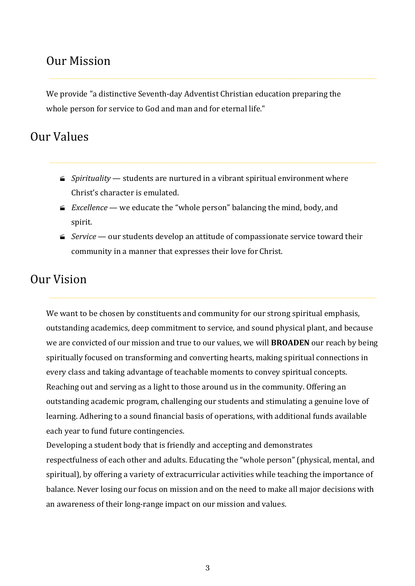### Our Mission

We provide "a distinctive Seventh-day Adventist Christian education preparing the whole person for service to God and man and for eternal life."

### Our Values

- $\leq$  *Spirituality* students are nurtured in a vibrant spiritual environment where Christ's character is emulated.
- $\leq$  *Excellence* we educate the "whole person" balancing the mind, body, and spirit.
- *Service* our students develop an attitude of compassionate service toward their community in a manner that expresses their love for Christ.

### Our Vision

We want to be chosen by constituents and community for our strong spiritual emphasis, outstanding academics, deep commitment to service, and sound physical plant, and because we are convicted of our mission and true to our values, we will **BROADEN** our reach by being spiritually focused on transforming and converting hearts, making spiritual connections in every class and taking advantage of teachable moments to convey spiritual concepts. Reaching out and serving as a light to those around us in the community. Offering an outstanding academic program, challenging our students and stimulating a genuine love of learning. Adhering to a sound financial basis of operations, with additional funds available each year to fund future contingencies.

Developing a student body that is friendly and accepting and demonstrates respectfulness of each other and adults. Educating the "whole person" (physical, mental, and spiritual), by offering a variety of extracurricular activities while teaching the importance of balance. Never losing our focus on mission and on the need to make all major decisions with an awareness of their long-range impact on our mission and values.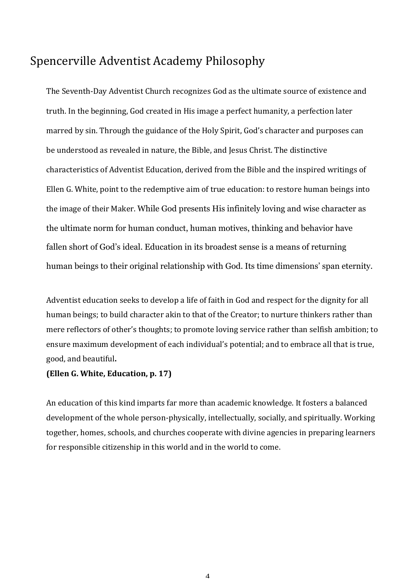### Spencerville Adventist Academy Philosophy

The Seventh-Day Adventist Church recognizes God as the ultimate source of existence and truth. In the beginning, God created in His image a perfect humanity, a perfection later marred by sin. Through the guidance of the Holy Spirit, God's character and purposes can be understood as revealed in nature, the Bible, and Jesus Christ. The distinctive characteristics of Adventist Education, derived from the Bible and the inspired writings of Ellen G. White, point to the redemptive aim of true education: to restore human beings into the image of their Maker. While God presents His infinitely loving and wise character as the ultimate norm for human conduct, human motives, thinking and behavior have fallen short of God's ideal. Education in its broadest sense is a means of returning human beings to their original relationship with God. Its time dimensions' span eternity.

Adventist education seeks to develop a life of faith in God and respect for the dignity for all human beings; to build character akin to that of the Creator; to nurture thinkers rather than mere reflectors of other's thoughts; to promote loving service rather than selfish ambition; to ensure maximum development of each individual's potential; and to embrace all that is true, good, and beautiful**.**

#### **(Ellen G. White, Education, p. 17)**

An education of this kind imparts far more than academic knowledge. It fosters a balanced development of the whole person-physically, intellectually, socially, and spiritually. Working together, homes, schools, and churches cooperate with divine agencies in preparing learners for responsible citizenship in this world and in the world to come.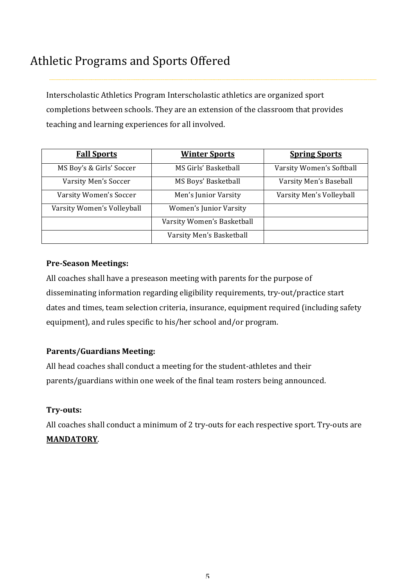Interscholastic Athletics Program Interscholastic athletics are organized sport completions between schools. They are an extension of the classroom that provides teaching and learning experiences for all involved.

| <b>Fall Sports</b>         | <b>Winter Sports</b>       | <b>Spring Sports</b>     |
|----------------------------|----------------------------|--------------------------|
| MS Boy's & Girls' Soccer   | MS Girls' Basketball       | Varsity Women's Softball |
| Varsity Men's Soccer       | MS Boys' Basketball        | Varsity Men's Baseball   |
| Varsity Women's Soccer     | Men's Junior Varsity       | Varsity Men's Volleyball |
| Varsity Women's Volleyball | Women's Junior Varsity     |                          |
|                            | Varsity Women's Basketball |                          |
|                            | Varsity Men's Basketball   |                          |

### **Pre-Season Meetings:**

All coaches shall have a preseason meeting with parents for the purpose of disseminating information regarding eligibility requirements, try-out/practice start dates and times, team selection criteria, insurance, equipment required (including safety equipment), and rules specific to his/her school and/or program.

### **Parents/Guardians Meeting:**

All head coaches shall conduct a meeting for the student-athletes and their parents/guardians within one week of the final team rosters being announced.

### **Try-outs:**

All coaches shall conduct a minimum of 2 try-outs for each respective sport. Try-outs are **MANDATORY**.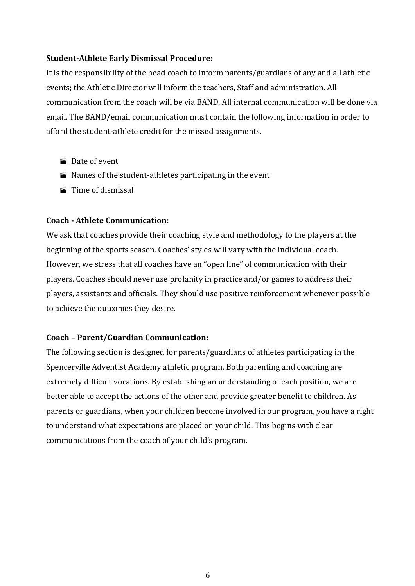#### **Student-Athlete Early Dismissal Procedure:**

It is the responsibility of the head coach to inform parents/guardians of any and all athletic events; the Athletic Director will inform the teachers, Staff and administration. All communication from the coach will be via BAND. All internal communication will be done via email. The BAND/email communication must contain the following information in order to afford the student-athlete credit for the missed assignments.

- Date of event
- $\blacktriangleright$  Names of the student-athletes participating in the event
- $\equiv$  Time of dismissal

#### **Coach - Athlete Communication:**

We ask that coaches provide their coaching style and methodology to the players at the beginning of the sports season. Coaches' styles will vary with the individual coach. However, we stress that all coaches have an "open line" of communication with their players. Coaches should never use profanity in practice and/or games to address their players, assistants and officials. They should use positive reinforcement whenever possible to achieve the outcomes they desire.

#### **Coach – Parent/Guardian Communication:**

The following section is designed for parents/guardians of athletes participating in the Spencerville Adventist Academy athletic program. Both parenting and coaching are extremely difficult vocations. By establishing an understanding of each position, we are better able to accept the actions of the other and provide greater benefit to children. As parents or guardians, when your children become involved in our program, you have a right to understand what expectations are placed on your child. This begins with clear communications from the coach of your child's program.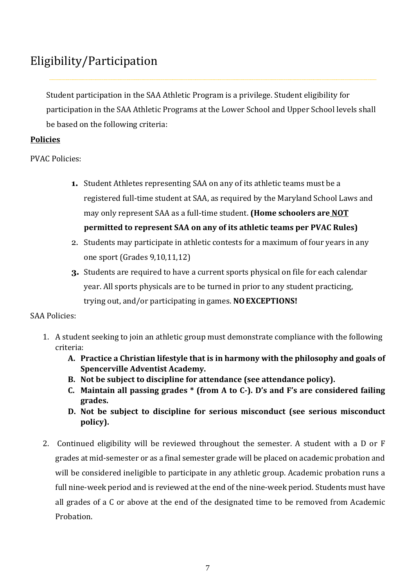# Eligibility/Participation

Student participation in the SAA Athletic Program is a privilege. Student eligibility for participation in the SAA Athletic Programs at the Lower School and Upper School levels shall be based on the following criteria:

### **Policies**

PVAC Policies:

- **1.** Student Athletes representing SAA on any of its athletic teams must be a registered full-time student at SAA, as required by the Maryland School Laws and may only represent SAA as a full-time student. (Home schoolers are **NOT permitted to represent SAA on any of its athletic teams per PVAC Rules)**
- 2. Students may participate in athletic contests for a maximum of four years in any one sport  $(Grades 9, 10, 11, 12)$
- **3.** Students are required to have a current sports physical on file for each calendar year. All sports physicals are to be turned in prior to any student practicing, trying out, and/or participating in games. **NO EXCEPTIONS!**

### SAA Policies:

- 1. A student seeking to join an athletic group must demonstrate compliance with the following criteria:
	- A. Practice a Christian lifestyle that is in harmony with the philosophy and goals of **Spencerville Adventist Academy.**
	- **B.** Not be subject to discipline for attendance (see attendance policy).
	- C. Maintain all passing grades \* (from A to C-). D's and F's are considered failing **grades.**
	- **D.** Not be subject to discipline for serious misconduct (see serious misconduct **policy).**
- 2. Continued eligibility will be reviewed throughout the semester. A student with a D or F grades at mid-semester or as a final semester grade will be placed on academic probation and will be considered ineligible to participate in any athletic group. Academic probation runs a full nine-week period and is reviewed at the end of the nine-week period. Students must have all grades of a C or above at the end of the designated time to be removed from Academic Probation.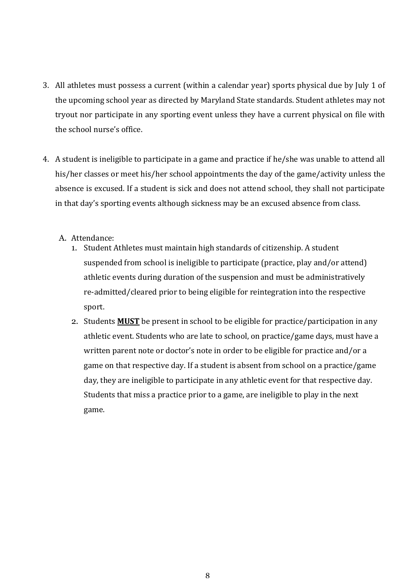- 3. All athletes must possess a current (within a calendar year) sports physical due by July 1 of the upcoming school year as directed by Maryland State standards. Student athletes may not tryout nor participate in any sporting event unless they have a current physical on file with the school nurse's office.
- 4. A student is ineligible to participate in a game and practice if he/she was unable to attend all his/her classes or meet his/her school appointments the day of the game/activity unless the absence is excused. If a student is sick and does not attend school, they shall not participate in that day's sporting events although sickness may be an excused absence from class.

#### A. Attendance:

- 1. Student Athletes must maintain high standards of citizenship. A student suspended from school is ineligible to participate (practice, play and/or attend) athletic events during duration of the suspension and must be administratively re-admitted/cleared prior to being eligible for reintegration into the respective sport.
- 2. Students **MUST** be present in school to be eligible for practice/participation in any athletic event. Students who are late to school, on practice/game days, must have a written parent note or doctor's note in order to be eligible for practice and/or a game on that respective day. If a student is absent from school on a practice/game day, they are ineligible to participate in any athletic event for that respective day. Students that miss a practice prior to a game, are ineligible to play in the next game.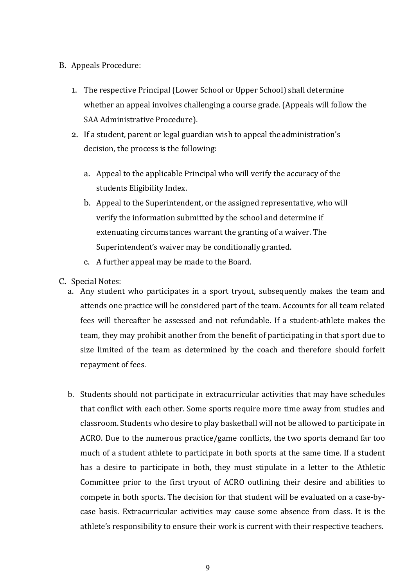#### B. Appeals Procedure:

- 1. The respective Principal (Lower School or Upper School) shall determine whether an appeal involves challenging a course grade. (Appeals will follow the SAA Administrative Procedure).
- 2. If a student, parent or legal guardian wish to appeal the administration's decision, the process is the following:
	- a. Appeal to the applicable Principal who will verify the accuracy of the students Eligibility Index.
	- b. Appeal to the Superintendent, or the assigned representative, who will verify the information submitted by the school and determine if extenuating circumstances warrant the granting of a waiver. The Superintendent's waiver may be conditionally granted.
	- c. A further appeal may be made to the Board.
- C. Special Notes:
	- a. Any student who participates in a sport tryout, subsequently makes the team and attends one practice will be considered part of the team. Accounts for all team related fees will thereafter be assessed and not refundable. If a student-athlete makes the team, they may prohibit another from the benefit of participating in that sport due to size limited of the team as determined by the coach and therefore should forfeit repayment of fees.
	- b. Students should not participate in extracurricular activities that may have schedules that conflict with each other. Some sports require more time away from studies and classroom. Students who desire to play basketball will not be allowed to participate in ACRO. Due to the numerous practice/game conflicts, the two sports demand far too much of a student athlete to participate in both sports at the same time. If a student has a desire to participate in both, they must stipulate in a letter to the Athletic Committee prior to the first tryout of ACRO outlining their desire and abilities to compete in both sports. The decision for that student will be evaluated on a case-bycase basis. Extracurricular activities may cause some absence from class. It is the athlete's responsibility to ensure their work is current with their respective teachers.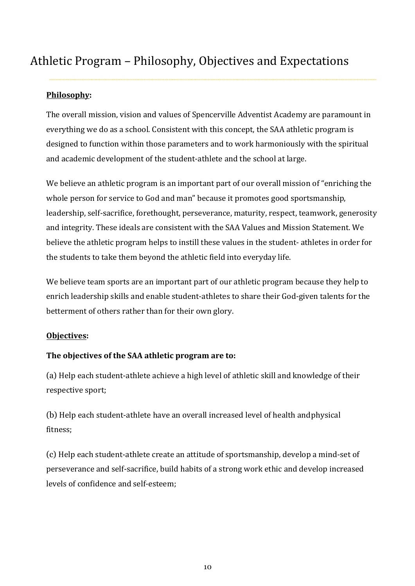# Athletic Program - Philosophy, Objectives and Expectations

### **Philosophy:**

The overall mission, vision and values of Spencerville Adventist Academy are paramount in everything we do as a school. Consistent with this concept, the SAA athletic program is designed to function within those parameters and to work harmoniously with the spiritual and academic development of the student-athlete and the school at large.

We believe an athletic program is an important part of our overall mission of "enriching the whole person for service to God and man" because it promotes good sportsmanship, leadership, self-sacrifice, forethought, perseverance, maturity, respect, teamwork, generosity and integrity. These ideals are consistent with the SAA Values and Mission Statement. We believe the athletic program helps to instill these values in the student- athletes in order for the students to take them beyond the athletic field into everyday life.

We believe team sports are an important part of our athletic program because they help to enrich leadership skills and enable student-athletes to share their God-given talents for the betterment of others rather than for their own glory.

### **Objectives:**

### The objectives of the SAA athletic program are to:

(a) Help each student-athlete achieve a high level of athletic skill and knowledge of their respective sport;

(b) Help each student-athlete have an overall increased level of health and physical fitness;

(c) Help each student-athlete create an attitude of sportsmanship, develop a mind-set of perseverance and self-sacrifice, build habits of a strong work ethic and develop increased levels of confidence and self-esteem;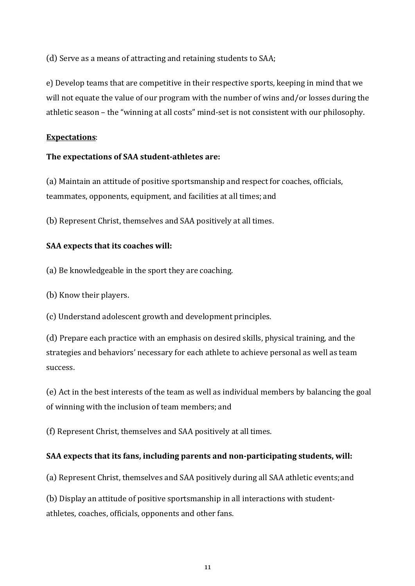(d) Serve as a means of attracting and retaining students to SAA;

e) Develop teams that are competitive in their respective sports, keeping in mind that we will not equate the value of our program with the number of wins and/or losses during the athletic season - the "winning at all costs" mind-set is not consistent with our philosophy.

#### **Expectations**:

#### The expectations of SAA student-athletes are:

(a) Maintain an attitude of positive sportsmanship and respect for coaches, officials, teammates, opponents, equipment, and facilities at all times; and

(b) Represent Christ, themselves and SAA positively at all times.

### **SAA** expects that its coaches will:

- (a) Be knowledgeable in the sport they are coaching.
- (b) Know their players.

(c) Understand adolescent growth and development principles.

(d) Prepare each practice with an emphasis on desired skills, physical training, and the strategies and behaviors' necessary for each athlete to achieve personal as well as team success.

(e) Act in the best interests of the team as well as individual members by balancing the goal of winning with the inclusion of team members; and

(f) Represent Christ, themselves and SAA positively at all times.

### **SAA** expects that its fans, including parents and non-participating students, will:

(a) Represent Christ, themselves and SAA positively during all SAA athletic events; and

(b) Display an attitude of positive sportsmanship in all interactions with studentathletes, coaches, officials, opponents and other fans.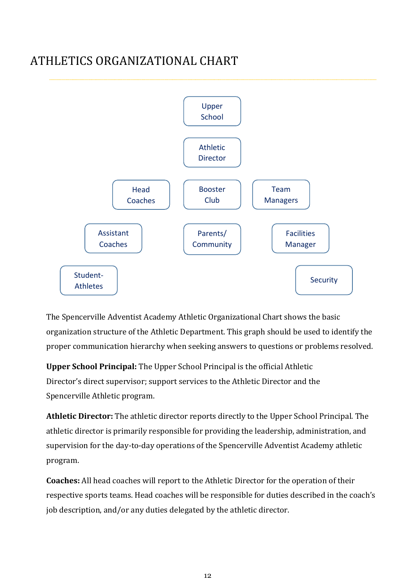### ATHLETICS ORGANIZATIONAL CHART



The Spencerville Adventist Academy Athletic Organizational Chart shows the basic organization structure of the Athletic Department. This graph should be used to identify the proper communication hierarchy when seeking answers to questions or problems resolved.

**Upper School Principal:** The Upper School Principal is the official Athletic Director's direct supervisor; support services to the Athletic Director and the Spencerville Athletic program.

Athletic Director: The athletic director reports directly to the Upper School Principal. The athletic director is primarily responsible for providing the leadership, administration, and supervision for the day-to-day operations of the Spencerville Adventist Academy athletic program.

**Coaches:** All head coaches will report to the Athletic Director for the operation of their respective sports teams. Head coaches will be responsible for duties described in the coach's job description, and/or any duties delegated by the athletic director.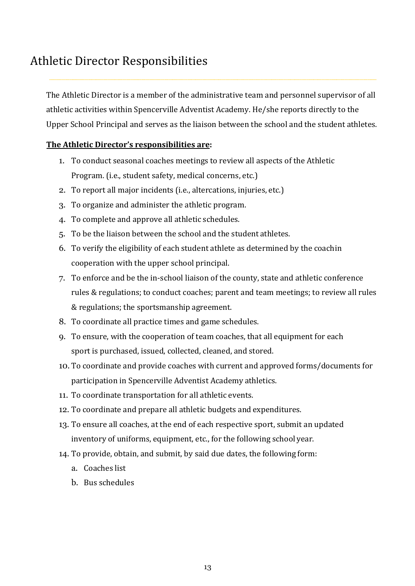### **Athletic Director Responsibilities**

The Athletic Director is a member of the administrative team and personnel supervisor of all athletic activities within Spencerville Adventist Academy. He/she reports directly to the Upper School Principal and serves as the liaison between the school and the student athletes.

### **The Athletic Director's responsibilities are:**

- 1. To conduct seasonal coaches meetings to review all aspects of the Athletic Program. (i.e., student safety, medical concerns, etc.)
- 2. To report all major incidents (i.e., altercations, injuries, etc.)
- 3. To organize and administer the athletic program.
- 4. To complete and approve all athletic schedules.
- 5. To be the liaison between the school and the student athletes.
- 6. To verify the eligibility of each student athlete as determined by the coachin cooperation with the upper school principal.
- 7. To enforce and be the in-school liaison of the county, state and athletic conference rules & regulations; to conduct coaches; parent and team meetings; to review all rules & regulations; the sportsmanship agreement.
- 8. To coordinate all practice times and game schedules.
- 9. To ensure, with the cooperation of team coaches, that all equipment for each sport is purchased, issued, collected, cleaned, and stored.
- 10. To coordinate and provide coaches with current and approved forms/documents for participation in Spencerville Adventist Academy athletics.
- 11. To coordinate transportation for all athletic events.
- 12. To coordinate and prepare all athletic budgets and expenditures.
- 13. To ensure all coaches, at the end of each respective sport, submit an updated inventory of uniforms, equipment, etc., for the following school year.
- 14. To provide, obtain, and submit, by said due dates, the following form:
	- a. Coaches list
	- b. Bus schedules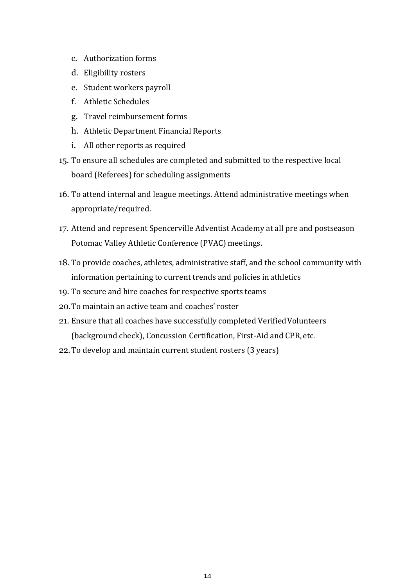- c. Authorization forms
- d. Eligibility rosters
- e. Student workers payroll
- f. Athletic Schedules
- g. Travel reimbursement forms
- h. Athletic Department Financial Reports
- i. All other reports as required
- 15. To ensure all schedules are completed and submitted to the respective local board (Referees) for scheduling assignments
- 16. To attend internal and league meetings. Attend administrative meetings when appropriate/required.
- 17. Attend and represent Spencerville Adventist Academy at all pre and postseason Potomac Valley Athletic Conference (PVAC) meetings.
- 18. To provide coaches, athletes, administrative staff, and the school community with information pertaining to current trends and policies in athletics
- 19. To secure and hire coaches for respective sports teams
- 20. To maintain an active team and coaches' roster
- 21. Ensure that all coaches have successfully completed Verified Volunteers (background check), Concussion Certification, First-Aid and CPR, etc.
- 22. To develop and maintain current student rosters (3 years)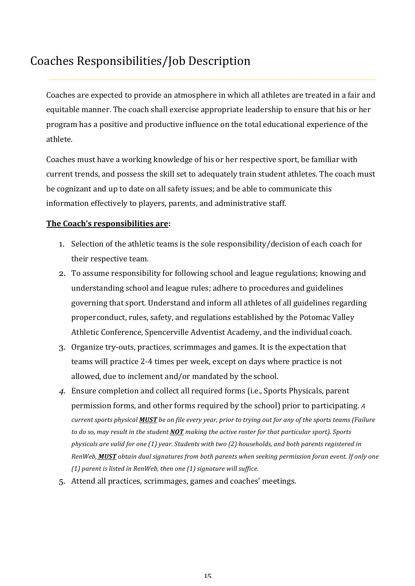# Coaches Responsibilities/Job Description

Coaches are expected to provide an atmosphere in which all athletes are treated in a fair and equitable manner. The coach shall exercise appropriate leadership to ensure that his or her program has a positive and productive influence on the total educational experience of the athlete.

Coaches must have a working knowledge of his or her respective sport, be familiar with current trends, and possess the skill set to adequately train student athletes. The coach must be cognizant and up to date on all safety issues; and be able to communicate this information effectively to players, parents, and administrative staff.

### **The Coach's responsibilities are:**

- 1. Selection of the athletic teams is the sole responsibility/decision of each coach for their respective team.
- 2. To assume responsibility for following school and league regulations; knowing and understanding school and league rules; adhere to procedures and guidelines governing that sport. Understand and inform all athletes of all guidelines regarding properconduct, rules, safety, and regulations established by the Potomac Valley Athletic Conference, Spencerville Adventist Academy, and the individual coach.
- 3. Organize try-outs, practices, scrimmages and games. It is the expectation that teams will practice 2-4 times per week, except on days where practice is not allowed, due to inclement and/or mandated by the school.
- 4. Ensure completion and collect all required forms (i.e., Sports Physicals, parent permission forms, and other forms required by the school) prior to participating. A *current sports physical MUST be on file every year, prior to trying out for any of the sports teams (Failure to* do so, may result in the student **NOT** making the active roster for that particular sport). Sports physicals are valid for one (1) year. Students with two (2) households, and both parents registered in *RenWeb, MUST obtain dual signatures from both parents when seeking permission foran event. If only one* (1) parent is listed in RenWeb, then one (1) signature will suffice.
- 5. Attend all practices, scrimmages, games and coaches' meetings.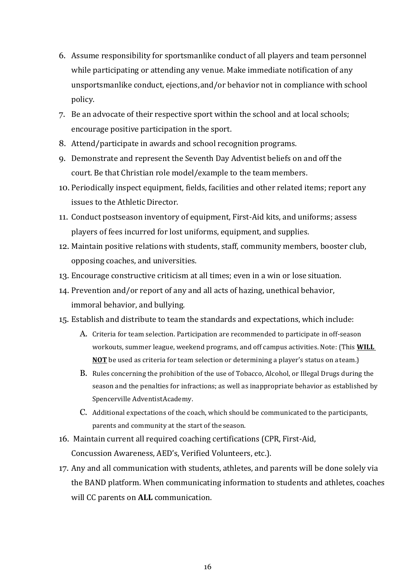- 6. Assume responsibility for sportsmanlike conduct of all players and team personnel while participating or attending any venue. Make immediate notification of any unsportsmanlike conduct, ejections, and/or behavior not in compliance with school policy.
- 7. Be an advocate of their respective sport within the school and at local schools; encourage positive participation in the sport.
- 8. Attend/participate in awards and school recognition programs.
- 9. Demonstrate and represent the Seventh Day Adventist beliefs on and off the court. Be that Christian role model/example to the team members.
- 10. Periodically inspect equipment, fields, facilities and other related items; report any issues to the Athletic Director.
- 11. Conduct postseason inventory of equipment, First-Aid kits, and uniforms; assess players of fees incurred for lost uniforms, equipment, and supplies.
- 12. Maintain positive relations with students, staff, community members, booster club, opposing coaches, and universities.
- 13. Encourage constructive criticism at all times; even in a win or lose situation.
- 14. Prevention and/or report of any and all acts of hazing, unethical behavior, immoral behavior, and bullying.
- 15. Establish and distribute to team the standards and expectations, which include:
	- A. Criteria for team selection. Participation are recommended to participate in off-season workouts, summer league, weekend programs, and off campus activities. Note: (This **WILL NOT** be used as criteria for team selection or determining a player's status on a team.)
	- B. Rules concerning the prohibition of the use of Tobacco, Alcohol, or Illegal Drugs during the season and the penalties for infractions; as well as inappropriate behavior as established by Spencerville AdventistAcademy.
	- C. Additional expectations of the coach, which should be communicated to the participants, parents and community at the start of the season.
- 16. Maintain current all required coaching certifications (CPR, First-Aid, Concussion Awareness, AED's, Verified Volunteers, etc.).
- 17. Any and all communication with students, athletes, and parents will be done solely via the BAND platform. When communicating information to students and athletes, coaches will CC parents on **ALL** communication.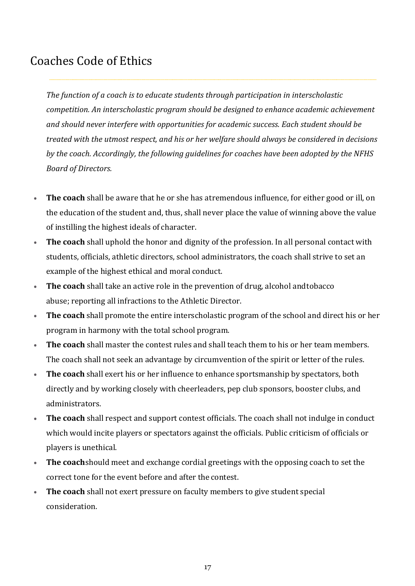### Coaches Code of Ethics

The function of a coach is to educate students through participation in interscholastic *competition.* An interscholastic program should be designed to enhance academic achievement and should never interfere with opportunities for academic success. Each student should be *treated* with the utmost respect, and his or her welfare should always be considered in decisions by the coach. Accordingly, the following guidelines for coaches have been adopted by the NFHS *Board of Directors.*

- The coach shall be aware that he or she has atremendous influence, for either good or ill, on the education of the student and, thus, shall never place the value of winning above the value of instilling the highest ideals of character.
- **The coach** shall uphold the honor and dignity of the profession. In all personal contact with students, officials, athletic directors, school administrators, the coach shall strive to set an example of the highest ethical and moral conduct.
- **The coach** shall take an active role in the prevention of drug, alcohol and tobacco abuse; reporting all infractions to the Athletic Director.
- The coach shall promote the entire interscholastic program of the school and direct his or her program in harmony with the total school program.
- **The coach** shall master the contest rules and shall teach them to his or her team members. The coach shall not seek an advantage by circumvention of the spirit or letter of the rules.
- **The coach** shall exert his or her influence to enhance sportsmanship by spectators, both directly and by working closely with cheerleaders, pep club sponsors, booster clubs, and administrators.
- The coach shall respect and support contest officials. The coach shall not indulge in conduct which would incite players or spectators against the officials. Public criticism of officials or players is unethical.
- **The coach**should meet and exchange cordial greetings with the opposing coach to set the correct tone for the event before and after the contest.
- **The coach** shall not exert pressure on faculty members to give student special consideration.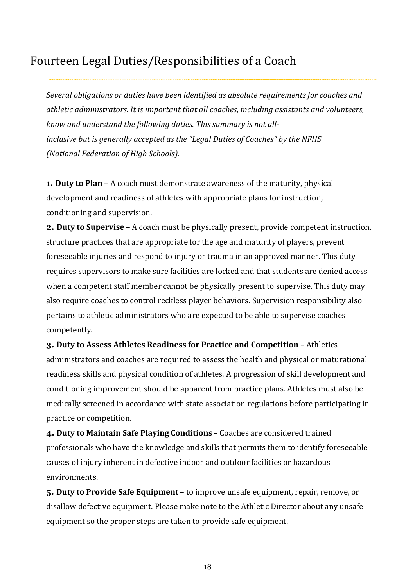### Fourteen Legal Duties/Responsibilities of a Coach

Several obligations or duties have been identified as absolute requirements for coaches and athletic administrators. It is important that all coaches, including assistants and volunteers, know and understand the following duties. This summary is not all*inclusive but is generally accepted as the "Legal Duties of Coaches" by the NFHS (National Federation of High Schools).*

**1. Duty to Plan** – A coach must demonstrate awareness of the maturity, physical development and readiness of athletes with appropriate plans for instruction, conditioning and supervision.

**2. Duty to Supervise** – A coach must be physically present, provide competent instruction, structure practices that are appropriate for the age and maturity of players, prevent foreseeable injuries and respond to injury or trauma in an approved manner. This duty requires supervisors to make sure facilities are locked and that students are denied access when a competent staff member cannot be physically present to supervise. This duty may also require coaches to control reckless player behaviors. Supervision responsibility also pertains to athletic administrators who are expected to be able to supervise coaches competently.

**3.** Duty to Assess Athletes Readiness for Practice and Competition - Athletics administrators and coaches are required to assess the health and physical or maturational readiness skills and physical condition of athletes. A progression of skill development and conditioning improvement should be apparent from practice plans. Athletes must also be medically screened in accordance with state association regulations before participating in practice or competition.

4. Duty to Maintain Safe Playing Conditions - Coaches are considered trained professionals who have the knowledge and skills that permits them to identify foreseeable causes of injury inherent in defective indoor and outdoor facilities or hazardous environments.

**5.** Duty to Provide Safe Equipment – to improve unsafe equipment, repair, remove, or disallow defective equipment. Please make note to the Athletic Director about any unsafe equipment so the proper steps are taken to provide safe equipment.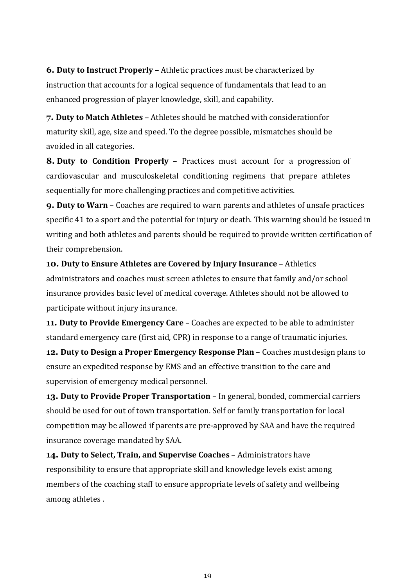**6. Duty to Instruct Properly** - Athletic practices must be characterized by instruction that accounts for a logical sequence of fundamentals that lead to an enhanced progression of player knowledge, skill, and capability.

**7. Duty to Match Athletes** - Athletes should be matched with considerationfor maturity skill, age, size and speed. To the degree possible, mismatches should be avoided in all categories.

**8. Duty to Condition Properly** – Practices must account for a progression of cardiovascular and musculoskeletal conditioning regimens that prepare athletes sequentially for more challenging practices and competitive activities.

**9. Duty to Warn** – Coaches are required to warn parents and athletes of unsafe practices specific 41 to a sport and the potential for injury or death. This warning should be issued in writing and both athletes and parents should be required to provide written certification of their comprehension.

**10. Duty to Ensure Athletes are Covered by Injury Insurance - Athletics** administrators and coaches must screen athletes to ensure that family and/or school insurance provides basic level of medical coverage. Athletes should not be allowed to participate without injury insurance.

**11. Duty to Provide Emergency Care** – Coaches are expected to be able to administer standard emergency care (first aid, CPR) in response to a range of traumatic injuries.

**12. Duty to Design a Proper Emergency Response Plan – Coaches mustdesign plans to** ensure an expedited response by EMS and an effective transition to the care and supervision of emergency medical personnel.

**13. Duty to Provide Proper Transportation** - In general, bonded, commercial carriers should be used for out of town transportation. Self or family transportation for local competition may be allowed if parents are pre-approved by SAA and have the required insurance coverage mandated by SAA.

**14. Duty to Select, Train, and Supervise Coaches - Administrators have** responsibility to ensure that appropriate skill and knowledge levels exist among members of the coaching staff to ensure appropriate levels of safety and wellbeing among athletes.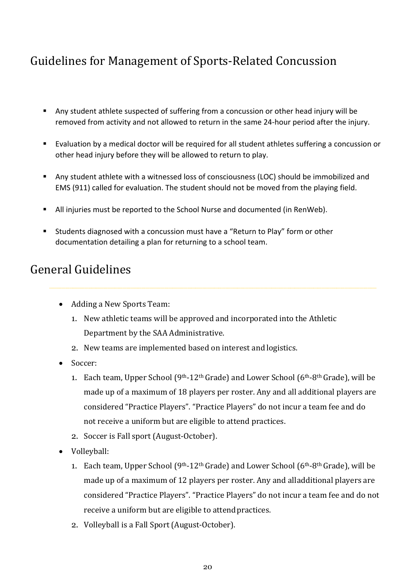# Guidelines for Management of Sports-Related Concussion

- Any student athlete suspected of suffering from a concussion or other head injury will be removed from activity and not allowed to return in the same 24-hour period after the injury.
- Evaluation by a medical doctor will be required for all student athletes suffering a concussion or other head injury before they will be allowed to return to play.
- Any student athlete with a witnessed loss of consciousness (LOC) should be immobilized and EMS (911) called for evaluation. The student should not be moved from the playing field.
- **E** All injuries must be reported to the School Nurse and documented (in RenWeb).
- Students diagnosed with a concussion must have a "Return to Play" form or other documentation detailing a plan for returning to a school team.

### General Guidelines

- Adding a New Sports Team:
	- 1. New athletic teams will be approved and incorporated into the Athletic Department by the SAA Administrative.
	- 2. New teams are implemented based on interest and logistics.
- Soccer:
	- 1. Each team, Upper School  $(9<sup>th</sup>-12<sup>th</sup> Grade)$  and Lower School  $(6<sup>th</sup>-8<sup>th</sup> Grade)$ , will be made up of a maximum of 18 players per roster. Any and all additional players are considered "Practice Players". "Practice Players" do not incur a team fee and do not receive a uniform but are eligible to attend practices.
	- 2. Soccer is Fall sport (August-October).
- Volleyball:
	- 1. Each team, Upper School  $(9<sup>th</sup>-12<sup>th</sup> Grade)$  and Lower School  $(6<sup>th</sup>-8<sup>th</sup> Grade)$ , will be made up of a maximum of 12 players per roster. Any and alladditional players are considered "Practice Players". "Practice Players" do not incur a team fee and do not receive a uniform but are eligible to attend practices.
	- 2. Volleyball is a Fall Sport (August-October).